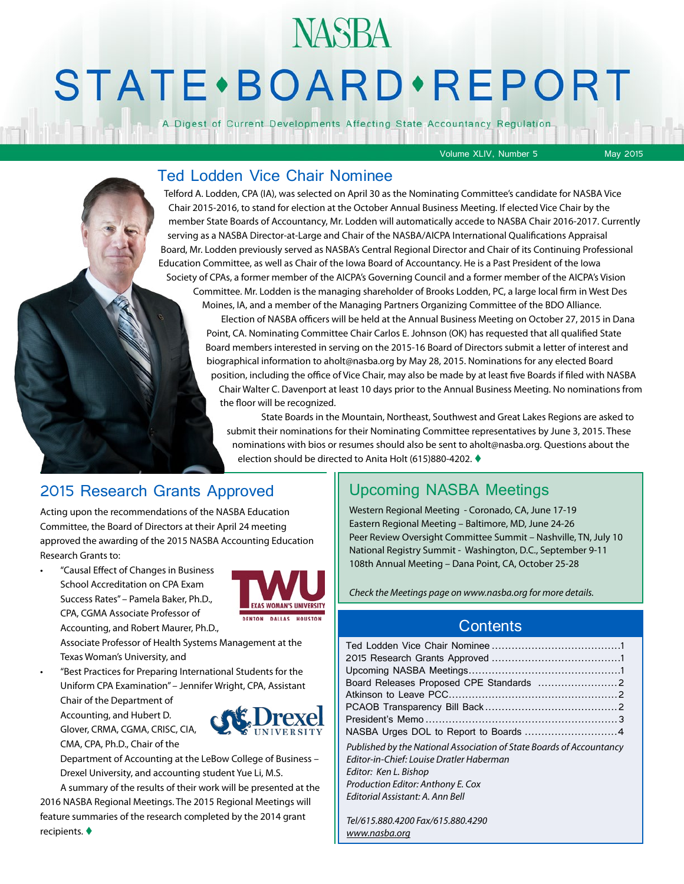## **NASBA**

# **STATE** · BOARD · REPORT

A Digest of Current Developments Affecting State Accountancy Regulation

Volume XLIV, Number 5 May 2015

#### Ted Lodden Vice Chair Nominee

Telford A. Lodden, CPA (IA), was selected on April 30 as the Nominating Committee's candidate for NASBA Vice Chair 2015-2016, to stand for election at the October Annual Business Meeting. If elected Vice Chair by the member State Boards of Accountancy, Mr. Lodden will automatically accede to NASBA Chair 2016-2017. Currently serving as a NASBA Director-at-Large and Chair of the NASBA/AICPA International Qualifications Appraisal Board, Mr. Lodden previously served as NASBA's Central Regional Director and Chair of its Continuing Professional Education Committee, as well as Chair of the Iowa Board of Accountancy. He is a Past President of the Iowa Society of CPAs, a former member of the AICPA's Governing Council and a former member of the AICPA's Vision Committee. Mr. Lodden is the managing shareholder of Brooks Lodden, PC, a large local firm in West Des

Moines, IA, and a member of the Managing Partners Organizing Committee of the BDO Alliance. Election of NASBA officers will be held at the Annual Business Meeting on October 27, 2015 in Dana Point, CA. Nominating Committee Chair Carlos E. Johnson (OK) has requested that all qualified State Board members interested in serving on the 2015-16 Board of Directors submit a letter of interest and biographical information to aholt@nasba.org by May 28, 2015. Nominations for any elected Board position, including the office of Vice Chair, may also be made by at least five Boards if filed with NASBA Chair Walter C. Davenport at least 10 days prior to the Annual Business Meeting. No nominations from the floor will be recognized.

State Boards in the Mountain, Northeast, Southwest and Great Lakes Regions are asked to submit their nominations for their Nominating Committee representatives by June 3, 2015. These nominations with bios or resumes should also be sent to aholt@nasba.org. Questions about the election should be directed to Anita Holt (615)880-4202.

#### 2015 Research Grants Approved I Upcoming NASBA Meetings

Acting upon the recommendations of the NASBA Education Committee, the Board of Directors at their April 24 meeting approved the awarding of the 2015 NASBA Accounting Education Research Grants to:

• "Causal Effect of Changes in Business School Accreditation on CPA Exam Success Rates" – Pamela Baker, Ph.D., CPA, CGMA Associate Professor of Accounting, and Robert Maurer, Ph.D.,



Associate Professor of Health Systems Management at the Texas Woman's University, and

• "Best Practices for Preparing International Students for the Uniform CPA Examination" – Jennifer Wright, CPA, Assistant

Chair of the Department of Accounting, and Hubert D. Glover, CRMA, CGMA, CRISC, CIA, CMA, CPA, Ph.D., Chair of the



Department of Accounting at the LeBow College of Business – Drexel University, and accounting student Yue Li, M.S.

A summary of the results of their work will be presented at the 2016 NASBA Regional Meetings. The 2015 Regional Meetings will feature summaries of the research completed by the 2014 grant recipients.  $\blacklozenge$ 

Western Regional Meeting - Coronado, CA, June 17-19 Eastern Regional Meeting – Baltimore, MD, June 24-26 Peer Review Oversight Committee Summit – Nashville, TN, July 10 National Registry Summit - Washington, D.C., September 9-11 108th Annual Meeting – Dana Point, CA, October 25-28

*Check the Meetings page on www.nasba.org for more details.* 

#### **Contents**

| Published by the National Association of State Boards of Accountancy |  |
|----------------------------------------------------------------------|--|

*Editor-in-Chief: Louise Dratler Haberman Editor: Ken L. Bishop Production Editor: Anthony E. Cox Editorial Assistant: A. Ann Bell* 

*Tel/615.880.4200 Fax/615.880.4290 [www.nasba.org](http://www.nasba.org)*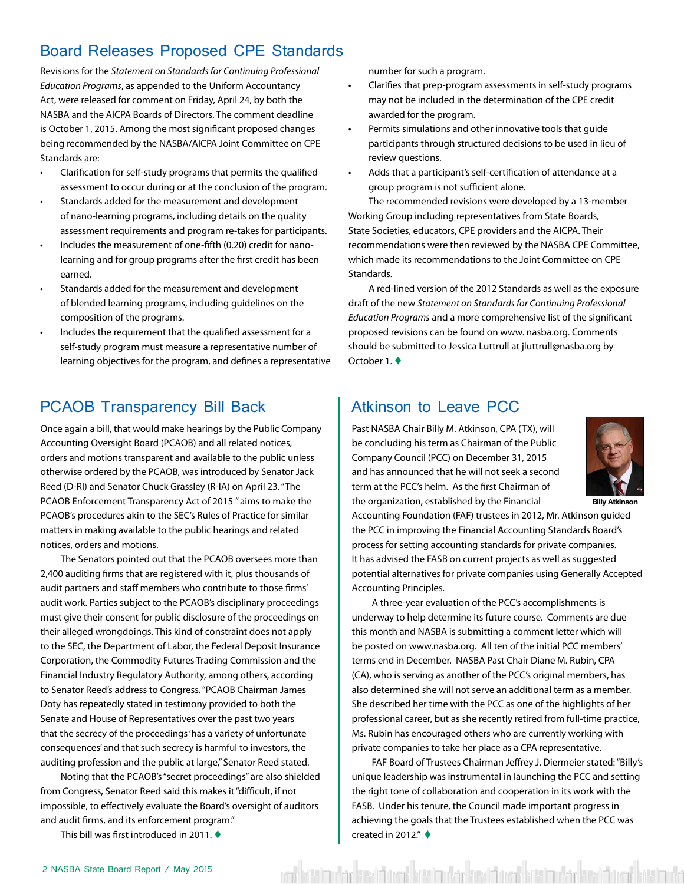#### <span id="page-1-0"></span>Board Releases Proposed CPE Standards

Revisions for the *Statement on Standards for Continuing Professional Education Programs*, as appended to the Uniform Accountancy Act, were released for comment on Friday, April 24, by both the NASBA and the AICPA Boards of Directors. The comment deadline is October 1, 2015. Among the most significant proposed changes being recommended by the NASBA/AICPA Joint Committee on CPE Standards are:

- Clarification for self-study programs that permits the qualified assessment to occur during or at the conclusion of the program.
- Standards added for the measurement and development of nano-learning programs, including details on the quality assessment requirements and program re-takes for participants.
- Includes the measurement of one-fifth (0.20) credit for nanolearning and for group programs after the first credit has been earned.
- Standards added for the measurement and development of blended learning programs, including guidelines on the composition of the programs.
- Includes the requirement that the qualified assessment for a self-study program must measure a representative number of learning objectives for the program, and defines a representative

number for such a program.

- Clarifies that prep-program assessments in self-study programs may not be included in the determination of the CPE credit awarded for the program.
- Permits simulations and other innovative tools that guide participants through structured decisions to be used in lieu of review questions.
- Adds that a participant's self-certification of attendance at a group program is not sufficient alone.

The recommended revisions were developed by a 13-member Working Group including representatives from State Boards, State Societies, educators, CPE providers and the AICPA. Their recommendations were then reviewed by the NASBA CPE Committee, which made its recommendations to the Joint Committee on CPE Standards.

A red-lined version of the 2012 Standards as well as the exposure draft of the new *Statement on Standards for Continuing Professional Education Programs* and a more comprehensive list of the significant proposed revisions can be found on www. nasba.org. Comments should be submitted to Jessica Luttrull at jluttrull@nasba.org by October 1. $\triangleleft$ 

#### PCAOB Transparency Bill Back

Once again a bill, that would make hearings by the Public Company Accounting Oversight Board (PCAOB) and all related notices, orders and motions transparent and available to the public unless otherwise ordered by the PCAOB, was introduced by Senator Jack Reed (D-RI) and Senator Chuck Grassley (R-IA) on April 23. "The PCAOB Enforcement Transparency Act of 2015 " aims to make the PCAOB's procedures akin to the SEC's Rules of Practice for similar matters in making available to the public hearings and related notices, orders and motions.

The Senators pointed out that the PCAOB oversees more than 2,400 auditing firms that are registered with it, plus thousands of audit partners and staff members who contribute to those firms' audit work. Parties subject to the PCAOB's disciplinary proceedings must give their consent for public disclosure of the proceedings on their alleged wrongdoings. This kind of constraint does not apply to the SEC, the Department of Labor, the Federal Deposit Insurance Corporation, the Commodity Futures Trading Commission and the Financial Industry Regulatory Authority, among others, according to Senator Reed's address to Congress. "PCAOB Chairman James Doty has repeatedly stated in testimony provided to both the Senate and House of Representatives over the past two years that the secrecy of the proceedings 'has a variety of unfortunate consequences' and that such secrecy is harmful to investors, the auditing profession and the public at large," Senator Reed stated.

Noting that the PCAOB's "secret proceedings" are also shielded from Congress, Senator Reed said this makes it "difficult, if not impossible, to effectively evaluate the Board's oversight of auditors and audit firms, and its enforcement program."

This bill was first introduced in 2011.  $\blacklozenge$ 

#### Atkinson to Leave PCC

Past NASBA Chair Billy M. Atkinson, CPA (TX), will be concluding his term as Chairman of the Public Company Council (PCC) on December 31, 2015 and has announced that he will not seek a second term at the PCC's helm. As the first Chairman of the organization, established by the Financial



**Billy Atkinson**

Accounting Foundation (FAF) trustees in 2012, Mr. Atkinson guided the PCC in improving the Financial Accounting Standards Board's process for setting accounting standards for private companies. It has advised the FASB on current projects as well as suggested potential alternatives for private companies using Generally Accepted Accounting Principles.

A three-year evaluation of the PCC's accomplishments is underway to help determine its future course. Comments are due this month and NASBA is submitting a comment letter which will be posted on www.nasba.org. All ten of the initial PCC members' terms end in December. NASBA Past Chair Diane M. Rubin, CPA (CA), who is serving as another of the PCC's original members, has also determined she will not serve an additional term as a member. She described her time with the PCC as one of the highlights of her professional career, but as she recently retired from full-time practice, Ms. Rubin has encouraged others who are currently working with private companies to take her place as a CPA representative.

FAF Board of Trustees Chairman Jeffrey J. Diermeier stated: "Billy's unique leadership was instrumental in launching the PCC and setting the right tone of collaboration and cooperation in its work with the FASB. Under his tenure, the Council made important progress in achieving the goals that the Trustees established when the PCC was created in 2012."  $\blacklozenge$ 

ent hat ha she kashi an battu da kashi an battu da she han ha kashi an sh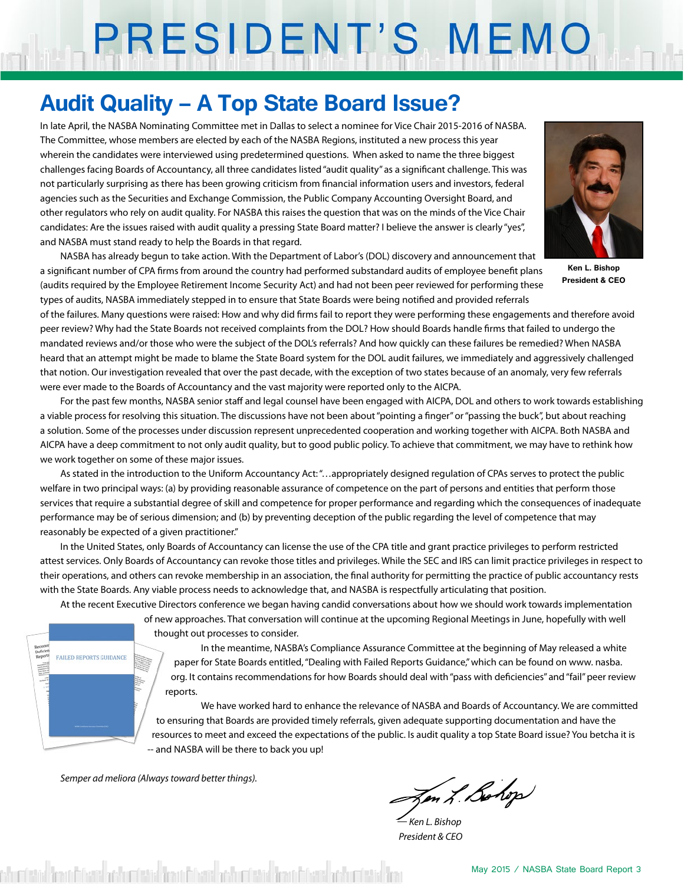# PRESIDENT'S MEMO

### **Audit Quality – A Top State Board Issue?**

In late April, the NASBA Nominating Committee met in Dallas to select a nominee for Vice Chair 2015-2016 of NASBA. The Committee, whose members are elected by each of the NASBA Regions, instituted a new process this year wherein the candidates were interviewed using predetermined questions. When asked to name the three biggest challenges facing Boards of Accountancy, all three candidates listed "audit quality" as a significant challenge. This was not particularly surprising as there has been growing criticism from financial information users and investors, federal agencies such as the Securities and Exchange Commission, the Public Company Accounting Oversight Board, and other regulators who rely on audit quality. For NASBA this raises the question that was on the minds of the Vice Chair candidates: Are the issues raised with audit quality a pressing State Board matter? I believe the answer is clearly "yes", and NASBA must stand ready to help the Boards in that regard.



**Ken L. Bishop President & CEO**

NASBA has already begun to take action. With the Department of Labor's (DOL) discovery and announcement that a significant number of CPA firms from around the country had performed substandard audits of employee benefit plans (audits required by the Employee Retirement Income Security Act) and had not been peer reviewed for performing these types of audits, NASBA immediately stepped in to ensure that State Boards were being notified and provided referrals

of the failures. Many questions were raised: How and why did firms fail to report they were performing these engagements and therefore avoid peer review? Why had the State Boards not received complaints from the DOL? How should Boards handle firms that failed to undergo the mandated reviews and/or those who were the subject of the DOL's referrals? And how quickly can these failures be remedied? When NASBA heard that an attempt might be made to blame the State Board system for the DOL audit failures, we immediately and aggressively challenged that notion. Our investigation revealed that over the past decade, with the exception of two states because of an anomaly, very few referrals were ever made to the Boards of Accountancy and the vast majority were reported only to the AICPA.

For the past few months, NASBA senior staff and legal counsel have been engaged with AICPA, DOL and others to work towards establishing a viable process for resolving this situation. The discussions have not been about "pointing a finger" or "passing the buck", but about reaching a solution. Some of the processes under discussion represent unprecedented cooperation and working together with AICPA. Both NASBA and AICPA have a deep commitment to not only audit quality, but to good public policy. To achieve that commitment, we may have to rethink how we work together on some of these major issues.

As stated in the introduction to the Uniform Accountancy Act: "…appropriately designed regulation of CPAs serves to protect the public welfare in two principal ways: (a) by providing reasonable assurance of competence on the part of persons and entities that perform those services that require a substantial degree of skill and competence for proper performance and regarding which the consequences of inadequate performance may be of serious dimension; and (b) by preventing deception of the public regarding the level of competence that may reasonably be expected of a given practitioner."

In the United States, only Boards of Accountancy can license the use of the CPA title and grant practice privileges to perform restricted attest services. Only Boards of Accountancy can revoke those titles and privileges. While the SEC and IRS can limit practice privileges in respect to their operations, and others can revoke membership in an association, the final authority for permitting the practice of public accountancy rests with the State Boards. Any viable process needs to acknowledge that, and NASBA is respectfully articulating that position.

At the recent Executive Directors conference we began having candid conversations about how we should work towards implementation

of new approaches. That conversation will continue at the upcoming Regional Meetings in June, hopefully with well

thought out processes to consider.

In the meantime, NASBA's Compliance Assurance Committee at the beginning of May released a white paper for State Boards entitled, "Dealing with Failed Reports Guidance," which can be found on www. nasba. org. It contains recommendations for how Boards should deal with "pass with deficiencies" and "fail" peer review reports.

We have worked hard to enhance the relevance of NASBA and Boards of Accountancy. We are committed to ensuring that Boards are provided timely referrals, given adequate supporting documentation and have the resources to meet and exceed the expectations of the public. Is audit quality a top State Board issue? You betcha it is -- and NASBA will be there to back you up!

*Semper ad meliora (Always toward better things).*

**FAILED REPORTS GUIDANCE** 

E.

Jen L. Bohop

*— Ken L. Bishop President & CEO*

churchte iracht eas ach mhair irachteas ach mhair irachteas ach mhair ir